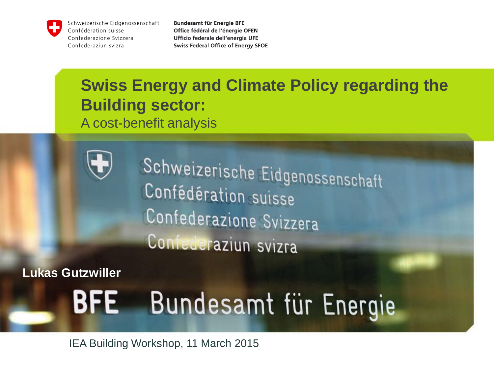

Schweizerische Eidgenossenschaft Confédération suisse Confederazione Svizzera Confederaziun svizra

**Bundesamt für Energie BFE** Office fédéral de l'énergie OFEN Ufficio federale dell'energia UFE **Swiss Federal Office of Energy SFOE** 

# **Swiss Energy and Climate Policy regarding the Building sector:**  A cost-benefit analysis



Schweizerische Eidgenossenschaft Confédération suisse Confederazione Svizzera Confederaziun svizra

**Lukas Gutzwiller**

#### **BFE** Bundesamt für Energie

IEA Building Workshop, 11 March 2015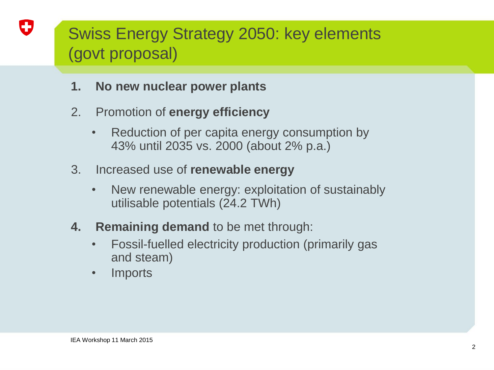# Swiss Energy Strategy 2050: key elements (govt proposal)

- **1. No new nuclear power plants**
- 2. Promotion of **energy efficiency**
	- Reduction of per capita energy consumption by 43% until 2035 vs. 2000 (about 2% p.a.)
- 3. Increased use of **renewable energy**
	- New renewable energy: exploitation of sustainably utilisable potentials (24.2 TWh)
- **4. Remaining demand** to be met through:
	- Fossil-fuelled electricity production (primarily gas and steam)
	- **Imports**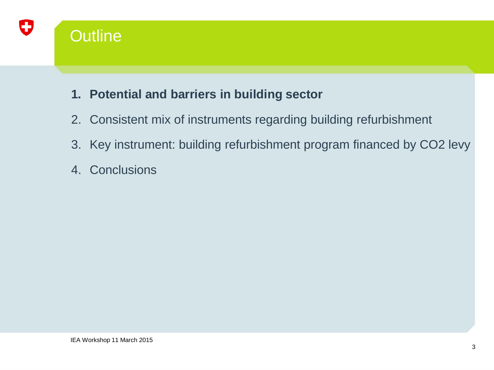

#### **1. Potential and barriers in building sector**

- 2. Consistent mix of instruments regarding building refurbishment
- 3. Key instrument: building refurbishment program financed by CO2 levy
- 4. Conclusions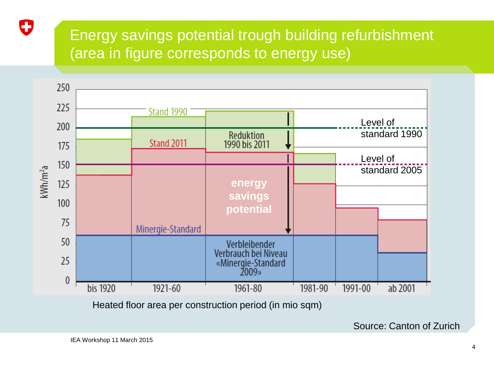## Energy savings potential trough building refurbishment (area in figure corresponds to energy use)



Heated floor area per construction period (in mio sqm)

Source: Canton of Zurich

0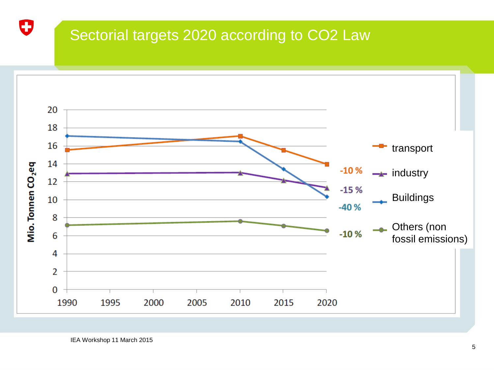### Sectorial targets 2020 according to CO2 Law



O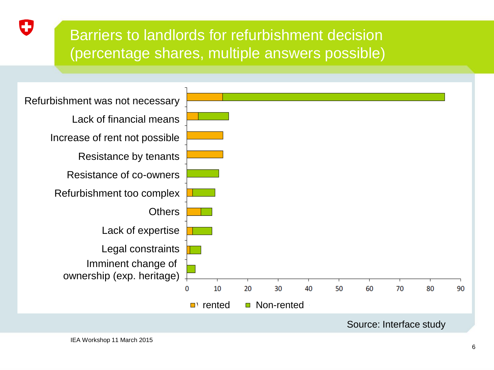## Barriers to landlords for refurbishment decision (percentage shares, multiple answers possible)



O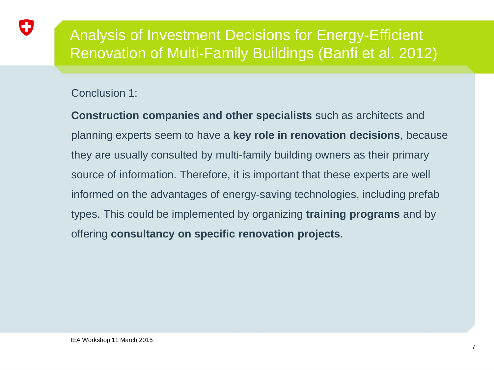### Analysis of Investment Decisions for Energy‐Efficient Renovation of Multi‐Family Buildings (Banfi et al. 2012)

#### Conclusion 1:

IJ

**Construction companies and other specialists** such as architects and planning experts seem to have a **key role in renovation decisions**, because they are usually consulted by multi‐family building owners as their primary source of information. Therefore, it is important that these experts are well informed on the advantages of energy‐saving technologies, including prefab types. This could be implemented by organizing **training programs** and by offering **consultancy on specific renovation projects**.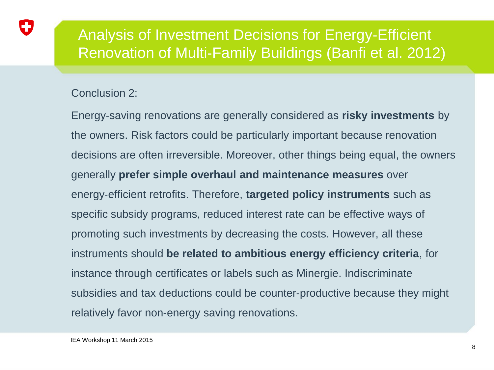#### Analysis of Investment Decisions for Energy‐Efficient Renovation of Multi‐Family Buildings (Banfi et al. 2012)

#### Conclusion 2:

57

Energy‐saving renovations are generally considered as **risky investments** by the owners. Risk factors could be particularly important because renovation decisions are often irreversible. Moreover, other things being equal, the owners generally **prefer simple overhaul and maintenance measures** over energy‐efficient retrofits. Therefore, **targeted policy instruments** such as specific subsidy programs, reduced interest rate can be effective ways of promoting such investments by decreasing the costs. However, all these instruments should **be related to ambitious energy efficiency criteria**, for instance through certificates or labels such as Minergie. Indiscriminate subsidies and tax deductions could be counter‐productive because they might relatively favor non‐energy saving renovations.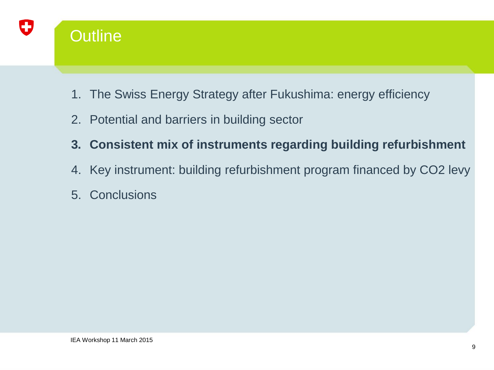

## **Outline**

- 1. The Swiss Energy Strategy after Fukushima: energy efficiency
- 2. Potential and barriers in building sector
- **3. Consistent mix of instruments regarding building refurbishment**
- 4. Key instrument: building refurbishment program financed by CO2 levy
- 5. Conclusions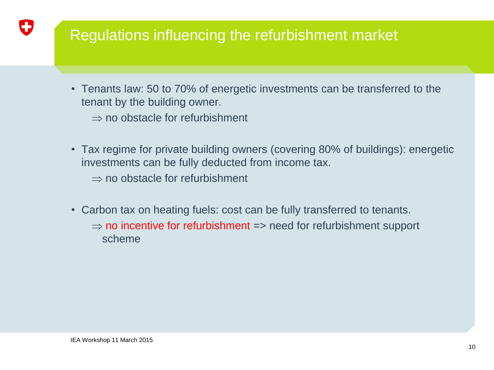### Regulations influencing the refurbishment market

• Tenants law: 50 to 70% of energetic investments can be transferred to the tenant by the building owner.

 $\Rightarrow$  no obstacle for refurbishment

• Tax regime for private building owners (covering 80% of buildings): energetic investments can be fully deducted from income tax.

 $\Rightarrow$  no obstacle for refurbishment

- Carbon tax on heating fuels: cost can be fully transferred to tenants.
	- $\Rightarrow$  no incentive for refurbishment => need for refurbishment support scheme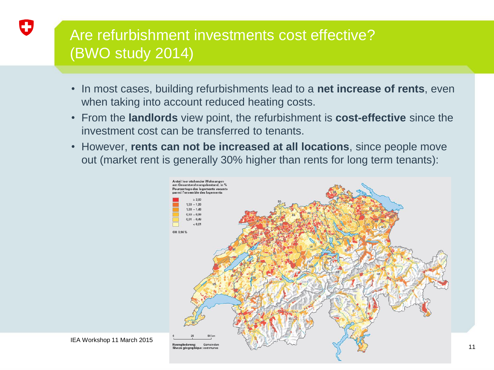## Are refurbishment investments cost effective? (BWO study 2014)

- In most cases, building refurbishments lead to a **net increase of rents**, even when taking into account reduced heating costs.
- From the **landlords** view point, the refurbishment is **cost-effective** since the investment cost can be transferred to tenants.
- However, **rents can not be increased at all locations**, since people move out (market rent is generally 30% higher than rents for long term tenants):

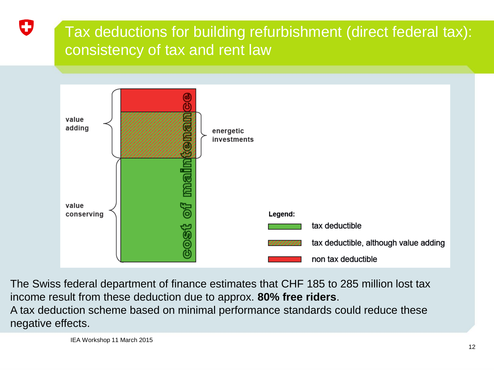## Tax deductions for building refurbishment (direct federal tax): consistency of tax and rent law



The Swiss federal department of finance estimates that CHF 185 to 285 million lost tax income result from these deduction due to approx. **80% free riders**. A tax deduction scheme based on minimal performance standards could reduce these negative effects.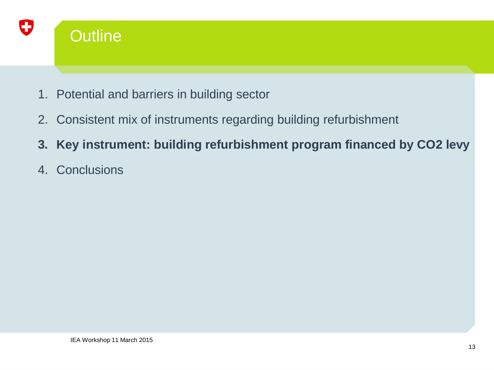

- 1. Potential and barriers in building sector
- 2. Consistent mix of instruments regarding building refurbishment
- **3. Key instrument: building refurbishment program financed by CO2 levy**
- 4. Conclusions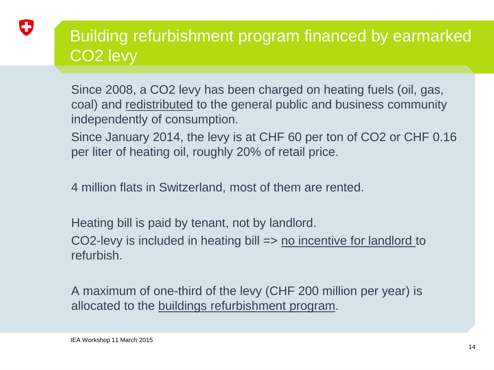

# Building refurbishment program financed by earmarked CO2 levy

Since 2008, a CO2 levy has been charged on heating fuels (oil, gas, coal) and redistributed to the general public and business community independently of consumption.

Since January 2014, the levy is at CHF 60 per ton of CO2 or CHF 0.16 per liter of heating oil, roughly 20% of retail price.

4 million flats in Switzerland, most of them are rented.

Heating bill is paid by tenant, not by landlord.

CO2-levy is included in heating bill => no incentive for landlord to refurbish.

A maximum of one-third of the levy (CHF 200 million per year) is allocated to the buildings refurbishment program.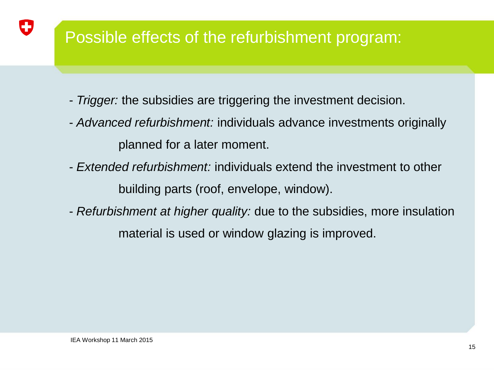# Possible effects of the refurbishment program:

- *Trigger:* the subsidies are triggering the investment decision.
- *Advanced refurbishment:* individuals advance investments originally planned for a later moment.
- *Extended refurbishment:* individuals extend the investment to other building parts (roof, envelope, window).
- *Refurbishment at higher quality:* due to the subsidies, more insulation material is used or window glazing is improved.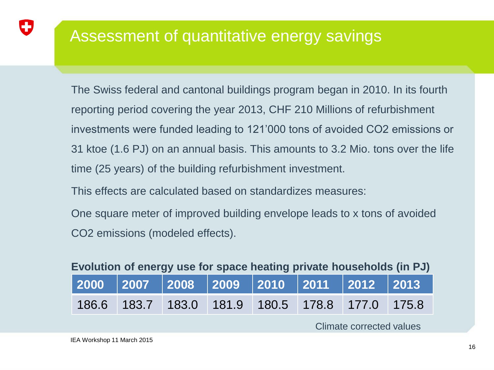## Assessment of quantitative energy savings

The Swiss federal and cantonal buildings program began in 2010. In its fourth reporting period covering the year 2013, CHF 210 Millions of refurbishment investments were funded leading to 121'000 tons of avoided CO2 emissions or 31 ktoe (1.6 PJ) on an annual basis. This amounts to 3.2 Mio. tons over the life time (25 years) of the building refurbishment investment.

This effects are calculated based on standardizes measures:

One square meter of improved building envelope leads to x tons of avoided CO2 emissions (modeled effects).

| Evolution of energy use for space heating private households (in PJ) |  |  |  |
|----------------------------------------------------------------------|--|--|--|
|----------------------------------------------------------------------|--|--|--|

|  |  | 186.6 183.7 183.0 181.9 180.5 178.8 177.0 175.8 |  |
|--|--|-------------------------------------------------|--|

Climate corrected values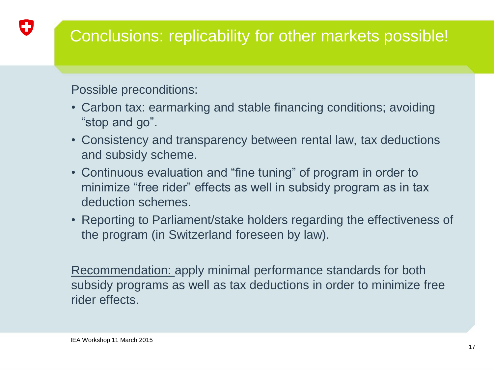# Conclusions: replicability for other markets possible!

Possible preconditions:

IJ

- Carbon tax: earmarking and stable financing conditions; avoiding "stop and go".
- Consistency and transparency between rental law, tax deductions and subsidy scheme.
- Continuous evaluation and "fine tuning" of program in order to minimize "free rider" effects as well in subsidy program as in tax deduction schemes.
- Reporting to Parliament/stake holders regarding the effectiveness of the program (in Switzerland foreseen by law).

Recommendation: apply minimal performance standards for both subsidy programs as well as tax deductions in order to minimize free rider effects.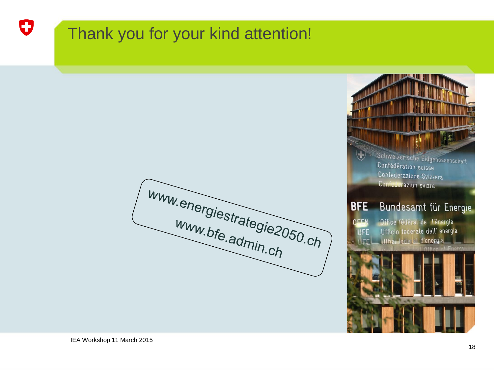# O

# Thank you for your kind attention!

Www.energiestrategie2050.ch



Confédération suisse Confederazione Svizzera Confederaziun svizra

#### Bundesamt für Energie **BFE**

**DEEN** Office fédéral de l'énergie Ufficio federale dell'energia **UFE** Uffizi federal d'energia **IFF**